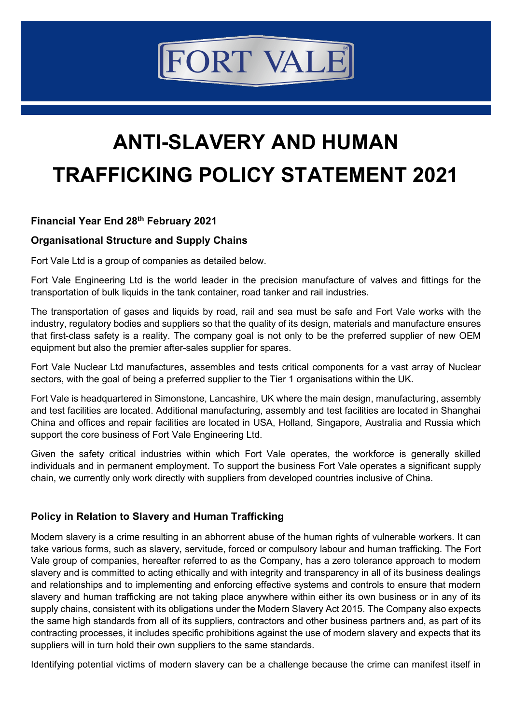# **FORT VALE**

# **ANTI-SLAVERY AND HUMAN TRAFFICKING POLICY STATEMENT 2021**

# **Financial Year End 28th February 2021**

#### **Organisational Structure and Supply Chains**

Fort Vale Ltd is a group of companies as detailed below.

Fort Vale Engineering Ltd is the world leader in the precision manufacture of valves and fittings for the transportation of bulk liquids in the tank container, road tanker and rail industries.

The transportation of gases and liquids by road, rail and sea must be safe and Fort Vale works with the industry, regulatory bodies and suppliers so that the quality of its design, materials and manufacture ensures that first-class safety is a reality. The company goal is not only to be the preferred supplier of new OEM equipment but also the premier after-sales supplier for spares.

Fort Vale Nuclear Ltd manufactures, assembles and tests critical components for a vast array of Nuclear sectors, with the goal of being a preferred supplier to the Tier 1 organisations within the UK.

Fort Vale is headquartered in Simonstone, Lancashire, UK where the main design, manufacturing, assembly and test facilities are located. Additional manufacturing, assembly and test facilities are located in Shanghai China and offices and repair facilities are located in USA, Holland, Singapore, Australia and Russia which support the core business of Fort Vale Engineering Ltd.

Given the safety critical industries within which Fort Vale operates, the workforce is generally skilled individuals and in permanent employment. To support the business Fort Vale operates a significant supply chain, we currently only work directly with suppliers from developed countries inclusive of China.

# **Policy in Relation to Slavery and Human Trafficking**

Modern slavery is a crime resulting in an abhorrent abuse of the human rights of vulnerable workers. It can take various forms, such as slavery, servitude, forced or compulsory labour and human trafficking. The Fort Vale group of companies, hereafter referred to as the Company, has a zero tolerance approach to modern slavery and is committed to acting ethically and with integrity and transparency in all of its business dealings and relationships and to implementing and enforcing effective systems and controls to ensure that modern slavery and human trafficking are not taking place anywhere within either its own business or in any of its supply chains, consistent with its obligations under the Modern Slavery Act 2015. The Company also expects the same high standards from all of its suppliers, contractors and other business partners and, as part of its contracting processes, it includes specific prohibitions against the use of modern slavery and expects that its suppliers will in turn hold their own suppliers to the same standards.

Identifying potential victims of modern slavery can be a challenge because the crime can manifest itself in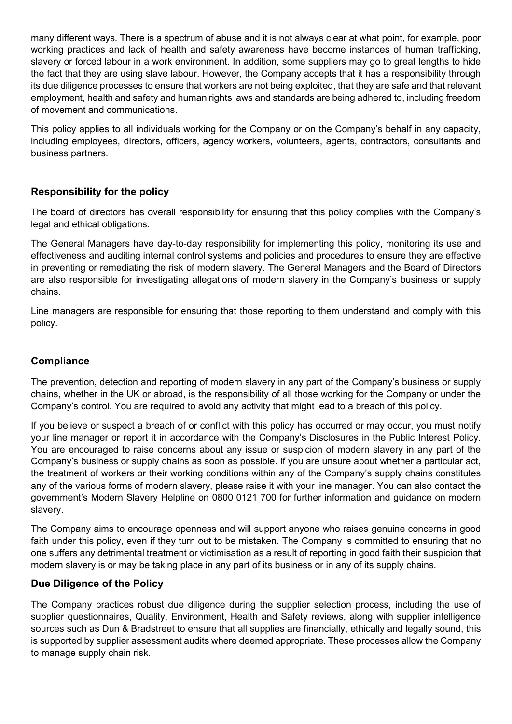many different ways. There is a spectrum of abuse and it is not always clear at what point, for example, poor working practices and lack of health and safety awareness have become instances of human trafficking, slavery or forced labour in a work environment. In addition, some suppliers may go to great lengths to hide the fact that they are using slave labour. However, the Company accepts that it has a responsibility through its due diligence processes to ensure that workers are not being exploited, that they are safe and that relevant employment, health and safety and human rights laws and standards are being adhered to, including freedom of movement and communications.

This policy applies to all individuals working for the Company or on the Company's behalf in any capacity, including employees, directors, officers, agency workers, volunteers, agents, contractors, consultants and business partners.

# **Responsibility for the policy**

The board of directors has overall responsibility for ensuring that this policy complies with the Company's legal and ethical obligations.

The General Managers have day-to-day responsibility for implementing this policy, monitoring its use and effectiveness and auditing internal control systems and policies and procedures to ensure they are effective in preventing or remediating the risk of modern slavery. The General Managers and the Board of Directors are also responsible for investigating allegations of modern slavery in the Company's business or supply chains.

Line managers are responsible for ensuring that those reporting to them understand and comply with this policy.

#### **Compliance**

The prevention, detection and reporting of modern slavery in any part of the Company's business or supply chains, whether in the UK or abroad, is the responsibility of all those working for the Company or under the Company's control. You are required to avoid any activity that might lead to a breach of this policy.

If you believe or suspect a breach of or conflict with this policy has occurred or may occur, you must notify your line manager or report it in accordance with the Company's Disclosures in the Public Interest Policy. You are encouraged to raise concerns about any issue or suspicion of modern slavery in any part of the Company's business or supply chains as soon as possible. If you are unsure about whether a particular act, the treatment of workers or their working conditions within any of the Company's supply chains constitutes any of the various forms of modern slavery, please raise it with your line manager. You can also contact the government's Modern Slavery Helpline on 0800 0121 700 for further information and guidance on modern slavery.

The Company aims to encourage openness and will support anyone who raises genuine concerns in good faith under this policy, even if they turn out to be mistaken. The Company is committed to ensuring that no one suffers any detrimental treatment or victimisation as a result of reporting in good faith their suspicion that modern slavery is or may be taking place in any part of its business or in any of its supply chains.

#### **Due Diligence of the Policy**

The Company practices robust due diligence during the supplier selection process, including the use of supplier questionnaires, Quality, Environment, Health and Safety reviews, along with supplier intelligence sources such as Dun & Bradstreet to ensure that all supplies are financially, ethically and legally sound, this is supported by supplier assessment audits where deemed appropriate. These processes allow the Company to manage supply chain risk.